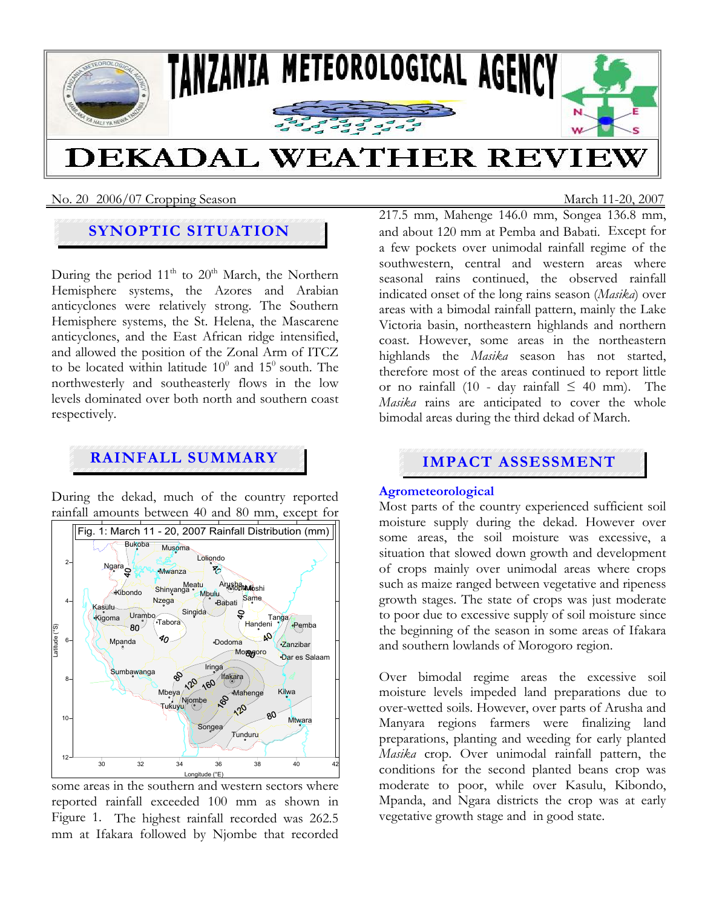

No. 20 2006/07 Cropping SeasonMarch 11-20, 2007

# **SYNOPTIC SITUATION**

During the period  $11<sup>th</sup>$  to  $20<sup>th</sup>$  March, the Northern Hemisphere systems, the Azores and Arabian anticyclones were relatively strong. The Southern Hemisphere systems, the St. Helena, the Mascarene anticyclones, and the East African ridge intensified, and allowed the position of the Zonal Arm of ITCZ to be located within latitude  $10^0$  and  $15^0$  south. The northwesterly and southeasterly flows in the low levels dominated over both north and southern coast respectively.

# **RAINFALL SUMMARY IMPACT ASSESSMENT**

During the dekad, much of the country reported rainfall amounts between 40 and 80 mm, except for



some areas in the southern and western sectors where reported rainfall exceeded 100 mm as shown in Figure 1. The highest rainfall recorded was 262.5 mm at Ifakara followed by Njombe that recorded

217.5 mm, Mahenge 146.0 mm, Songea 136.8 mm, and about 120 mm at Pemba and Babati. Except for a few pockets over unimodal rainfall regime of the southwestern, central and western areas where seasonal rains continued, the observed rainfall indicated onset of the long rains season (*Masika*) over areas with a bimodal rainfall pattern, mainly the Lake Victoria basin, northeastern highlands and northern coast. However, some areas in the northeastern highlands the *Masika* season has not started, therefore most of the areas continued to report little or no rainfall (10 - day rainfall  $\leq 40$  mm). The *Masika* rains are anticipated to cover the whole bimodal areas during the third dekad of March.

# **Agrometeorological**

Most parts of the country experienced sufficient soil moisture supply during the dekad. However over some areas, the soil moisture was excessive, a situation that slowed down growth and development of crops mainly over unimodal areas where crops such as maize ranged between vegetative and ripeness growth stages. The state of crops was just moderate to poor due to excessive supply of soil moisture since the beginning of the season in some areas of Ifakara and southern lowlands of Morogoro region.

Over bimodal regime areas the excessive soil moisture levels impeded land preparations due to over-wetted soils. However, over parts of Arusha and Manyara regions farmers were finalizing land preparations, planting and weeding for early planted *Masika* crop. Over unimodal rainfall pattern, the conditions for the second planted beans crop was moderate to poor, while over Kasulu, Kibondo, Mpanda, and Ngara districts the crop was at early vegetative growth stage and in good state.